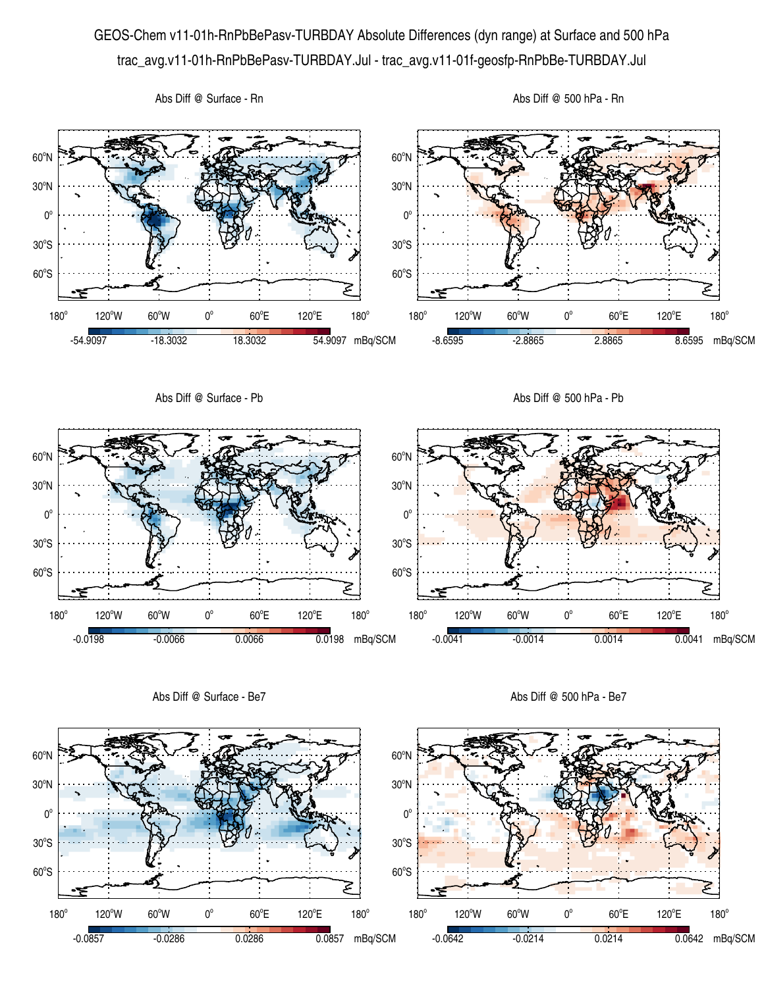## GEOS-Chem v11-01h-RnPbBePasv-TURBDAY Absolute Differences (dyn range) at Surface and 500 hPa trac\_avg.v11-01h-RnPbBePasv-TURBDAY.Jul - trac\_avg.v11-01f-geosfp-RnPbBe-TURBDAY.Jul



Abs Diff @ Surface - Be7

Abs Diff @ 500 hPa - Be7